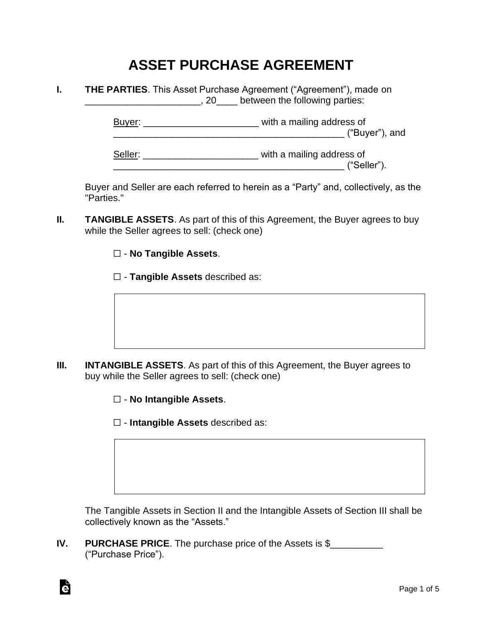## **ASSET PURCHASE AGREEMENT**

**I. THE PARTIES**. This Asset Purchase Agreement ("Agreement"), made on \_\_\_\_\_\_\_\_\_\_\_\_\_\_\_\_\_\_\_\_\_\_, 20\_\_\_\_ between the following parties:

> Buyer: \_\_\_\_\_\_\_\_\_\_\_\_\_\_\_\_\_\_\_\_\_\_\_\_\_\_\_\_\_\_ with a mailing address of \_\_\_\_\_\_\_\_\_\_\_\_\_\_\_\_\_\_\_\_\_\_\_\_\_\_\_\_\_\_\_\_\_\_\_\_\_\_\_\_\_\_\_\_ ("Buyer"), and Seller: \_\_\_\_\_\_\_\_\_\_\_\_\_\_\_\_\_\_\_\_\_\_\_\_\_\_\_\_\_\_ with a mailing address of

> > $($  "Seller").

Buyer and Seller are each referred to herein as a "Party" and, collectively, as the "Parties."

- **II. TANGIBLE ASSETS**. As part of this of this Agreement, the Buyer agrees to buy while the Seller agrees to sell: (check one)
	- ☐ **No Tangible Assets**.
	- ☐ **Tangible Assets** described as:

- **III. INTANGIBLE ASSETS**. As part of this of this Agreement, the Buyer agrees to buy while the Seller agrees to sell: (check one)
	- ☐ **No Intangible Assets**.

Ġ

☐ - **Intangible Assets** described as:

The Tangible Assets in Section II and the Intangible Assets of Section III shall be collectively known as the "Assets."

**IV.** PURCHASE PRICE. The purchase price of the Assets is \$\_\_\_\_\_\_\_\_\_\_\_\_\_\_\_\_\_\_\_\_\_\_ ("Purchase Price").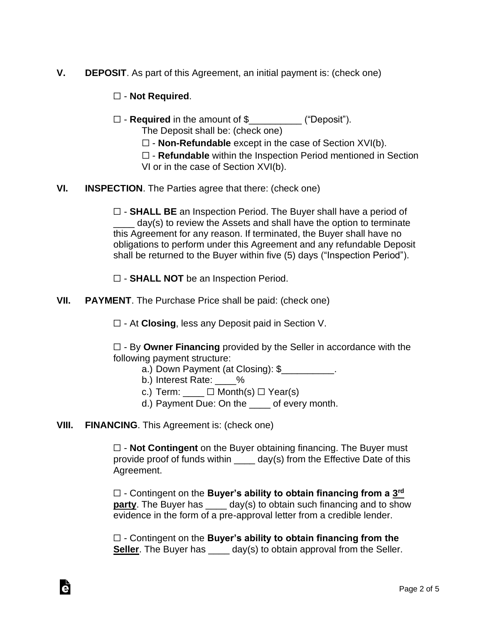- **V. DEPOSIT**. As part of this Agreement, an initial payment is: (check one)
	- ☐ **Not Required**.
	- ☐ **Required** in the amount of \$\_\_\_\_\_\_\_\_\_\_ ("Deposit"). The Deposit shall be: (check one)
		- ☐ **Non-Refundable** except in the case of Section XVI(b).
		- ☐ **Refundable** within the Inspection Period mentioned in Section VI or in the case of Section XVI(b).
- **VI. INSPECTION**. The Parties agree that there: (check one)

☐ - **SHALL BE** an Inspection Period. The Buyer shall have a period of day(s) to review the Assets and shall have the option to terminate this Agreement for any reason. If terminated, the Buyer shall have no obligations to perform under this Agreement and any refundable Deposit shall be returned to the Buyer within five (5) days ("Inspection Period").

- ☐ **SHALL NOT** be an Inspection Period.
- **VII. PAYMENT**. The Purchase Price shall be paid: (check one)
	- ☐ At **Closing**, less any Deposit paid in Section V.

☐ - By **Owner Financing** provided by the Seller in accordance with the following payment structure:

- a.) Down Payment (at Closing): \$
- b.) Interest Rate: 2%
- c.) Term:  $\Box$  Month(s)  $\Box$  Year(s)
- d.) Payment Due: On the of every month.
- **VIII. FINANCING**. This Agreement is: (check one)

Ġ

☐ - **Not Contingent** on the Buyer obtaining financing. The Buyer must provide proof of funds within  $\_\_\_\_$  day(s) from the Effective Date of this Agreement.

□ - Contingent on the **Buyer's ability to obtain financing from a 3<sup>rd</sup> party**. The Buyer has \_\_\_\_ day(s) to obtain such financing and to show evidence in the form of a pre-approval letter from a credible lender.

☐ - Contingent on the **Buyer's ability to obtain financing from the Seller**. The Buyer has day(s) to obtain approval from the Seller.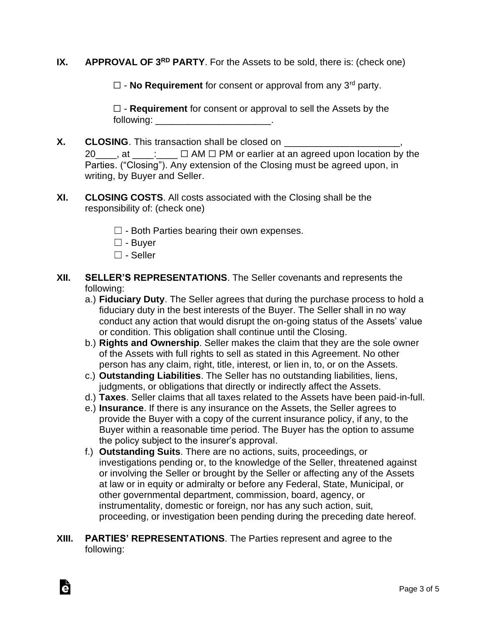## **IX. APPROVAL OF 3RD PARTY**. For the Assets to be sold, there is: (check one)

☐ - **No Requirement** for consent or approval from any 3rd party.

☐ - **Requirement** for consent or approval to sell the Assets by the following: \_\_\_\_\_\_\_\_\_\_\_\_\_\_\_\_\_\_\_\_\_\_\_\_\_\_\_\_\_\_\_\_.

- **X.** CLOSING. This transaction shall be closed on \_\_\_\_\_\_\_\_\_\_\_\_\_\_\_\_\_\_\_\_\_\_\_\_\_\_\_\_\_\_\_ 20\_\_\_\_, at \_\_\_\_: □ AM □ PM or earlier at an agreed upon location by the Parties. ("Closing"). Any extension of the Closing must be agreed upon, in writing, by Buyer and Seller.
- **XI. CLOSING COSTS**. All costs associated with the Closing shall be the responsibility of: (check one)
	- $\Box$  Both Parties bearing their own expenses.
	- ☐ Buyer
	- ☐ Seller

Ġ

- **XII. SELLER'S REPRESENTATIONS**. The Seller covenants and represents the following:
	- a.) **Fiduciary Duty**. The Seller agrees that during the purchase process to hold a fiduciary duty in the best interests of the Buyer. The Seller shall in no way conduct any action that would disrupt the on-going status of the Assets' value or condition. This obligation shall continue until the Closing.
	- b.) **Rights and Ownership**. Seller makes the claim that they are the sole owner of the Assets with full rights to sell as stated in this Agreement. No other person has any claim, right, title, interest, or lien in, to, or on the Assets.
	- c.) **Outstanding Liabilities**. The Seller has no outstanding liabilities, liens, judgments, or obligations that directly or indirectly affect the Assets.
	- d.) **Taxes**. Seller claims that all taxes related to the Assets have been paid-in-full.
	- e.) **Insurance**. If there is any insurance on the Assets, the Seller agrees to provide the Buyer with a copy of the current insurance policy, if any, to the Buyer within a reasonable time period. The Buyer has the option to assume the policy subject to the insurer's approval.
	- f.) **Outstanding Suits**. There are no actions, suits, proceedings, or investigations pending or, to the knowledge of the Seller, threatened against or involving the Seller or brought by the Seller or affecting any of the Assets at law or in equity or admiralty or before any Federal, State, Municipal, or other governmental department, commission, board, agency, or instrumentality, domestic or foreign, nor has any such action, suit, proceeding, or investigation been pending during the preceding date hereof.
- **XIII. PARTIES' REPRESENTATIONS**. The Parties represent and agree to the following: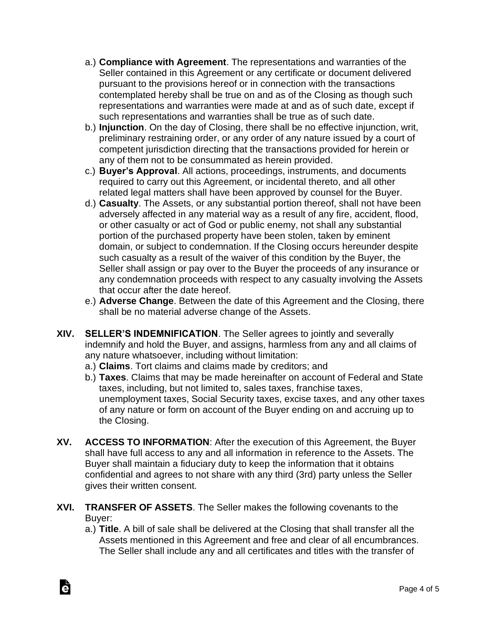- a.) **Compliance with Agreement**. The representations and warranties of the Seller contained in this Agreement or any certificate or document delivered pursuant to the provisions hereof or in connection with the transactions contemplated hereby shall be true on and as of the Closing as though such representations and warranties were made at and as of such date, except if such representations and warranties shall be true as of such date.
- b.) **Injunction**. On the day of Closing, there shall be no effective injunction, writ, preliminary restraining order, or any order of any nature issued by a court of competent jurisdiction directing that the transactions provided for herein or any of them not to be consummated as herein provided.
- c.) **Buyer's Approval**. All actions, proceedings, instruments, and documents required to carry out this Agreement, or incidental thereto, and all other related legal matters shall have been approved by counsel for the Buyer.
- d.) **Casualty**. The Assets, or any substantial portion thereof, shall not have been adversely affected in any material way as a result of any fire, accident, flood, or other casualty or act of God or public enemy, not shall any substantial portion of the purchased property have been stolen, taken by eminent domain, or subject to condemnation. If the Closing occurs hereunder despite such casualty as a result of the waiver of this condition by the Buyer, the Seller shall assign or pay over to the Buyer the proceeds of any insurance or any condemnation proceeds with respect to any casualty involving the Assets that occur after the date hereof.
- e.) **Adverse Change**. Between the date of this Agreement and the Closing, there shall be no material adverse change of the Assets.
- **XIV. SELLER'S INDEMNIFICATION**. The Seller agrees to jointly and severally indemnify and hold the Buyer, and assigns, harmless from any and all claims of any nature whatsoever, including without limitation:
	- a.) **Claims**. Tort claims and claims made by creditors; and
	- b.) **Taxes**. Claims that may be made hereinafter on account of Federal and State taxes, including, but not limited to, sales taxes, franchise taxes, unemployment taxes, Social Security taxes, excise taxes, and any other taxes of any nature or form on account of the Buyer ending on and accruing up to the Closing.
- **XV. ACCESS TO INFORMATION**: After the execution of this Agreement, the Buyer shall have full access to any and all information in reference to the Assets. The Buyer shall maintain a fiduciary duty to keep the information that it obtains confidential and agrees to not share with any third (3rd) party unless the Seller gives their written consent.
- **XVI. TRANSFER OF ASSETS**. The Seller makes the following covenants to the Buyer:

Ġ

a.) **Title**. A bill of sale shall be delivered at the Closing that shall transfer all the Assets mentioned in this Agreement and free and clear of all encumbrances. The Seller shall include any and all certificates and titles with the transfer of